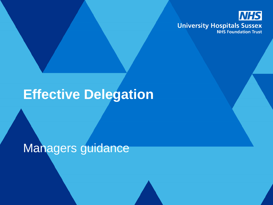

## **Effective Delegation**

Managers guidance